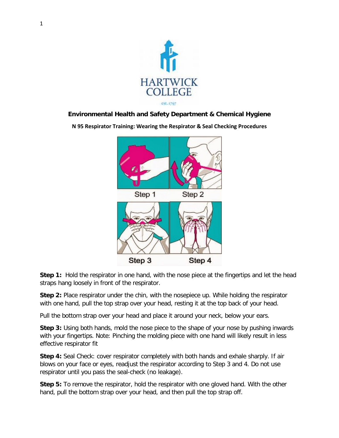

## **Environmental Health and Safety Department & Chemical Hygiene**

**N 95 Respirator Training: Wearing the Respirator & Seal Checking Procedures**



**Step 1:** Hold the respirator in one hand, with the nose piece at the fingertips and let the head straps hang loosely in front of the respirator.

**Step 2:** Place respirator under the chin, with the nosepiece up. While holding the respirator with one hand, pull the top strap over your head, resting it at the top back of your head.

Pull the bottom strap over your head and place it around your neck, below your ears.

**Step 3:** Using both hands, mold the nose piece to the shape of your nose by pushing inwards with your fingertips. Note: Pinching the molding piece with one hand will likely result in less effective respirator fit

**Step 4:** Seal Check: cover respirator completely with both hands and exhale sharply. If air blows on your face or eyes, readjust the respirator according to Step 3 and 4. Do not use respirator until you pass the seal-check (no leakage).

**Step 5:** To remove the respirator, hold the respirator with one gloved hand. With the other hand, pull the bottom strap over your head, and then pull the top strap off.